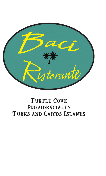

### **TURTLE COVE** PROVIDENCIALES TURKS AND CAICOS ISLANDS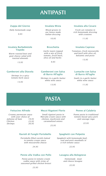### ANTIPASTI

### Zuppa del Giorno

*Daily homemade soup 9.95*

Insalata Barbabietole Tiepido

*Warm roasted beet and goat cheese salad with toasted almonds*

Gamberoni alla Diavola

*13.95*

*Shrimps in a spicy tomato herb sauce*

*13.95*

### Insalata Mista

*Mixed greens in our house made Italian dressing*

*10.95*

### **Bruschetta**

*Garlic toasts topped with a mix of fresh tomato, fresh basil, olive oil and herbs*

*9.95*

#### Gamberoni con Salsa di Burro All'aglio

*Shrimps in a garlic butter white wine sauce*

*13.95*

#### Insalata alla Cesare

*Fresh cut romaine in rich homemade dressing with croutons*

*11.95*

### Insalata Caprese

*Tomatoes, fresh mozzarella and basil with olive oil, balsamic and pesto*

*13.95*

### Lumache con Salsa di Burro All'aglio

*Snails in a garlic butter white wine sauce*

*11.95*

## PASTA

### Fettucine Alfredo

*Creamy parmesan sauce with your choice of Julienne of ham 19.95 Chicken Shrimps 23.95 26.95*

### Mezzi Rigatoni Florio

*Small rigatoni pasta in Marsala cream sauce with chicken, mushroom and caramalized onions*

*25.95*

### Penne al Calabria

*Penne pasta in traditional tomato based spicy pork and sausage ragu*

*22.95*

### Ravioli di Funghi Portobello

*Portobello filled raviolis baked in tomato cream sauce with mozzarella cheese*

### Penne alla Vodka con Pollo

*Penne pasta in tomato cream vodka sauce with strips of seasoned grilled chicken breast*

### *23.95*

### Spaghetti con Polpette

*veal and pork meatballs in a rich tomato sauce*

*22.95*

### Lasagna alla Bolognese

*Homemade meat and cheese lasagna*

*Spaghetti with homemade beef,* 

*24.95*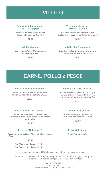### VITELLO

### Scaloppine Limone con Porri e Capperi

*Veal in a delicate lemon butter sauce with leeks and capers*

*34.95*

### Vitella Marsala

*Veal scaloppine in Marsala wine mushroom sauce*

*34.95*

### Vitella con Peperoni Arrostiti e Oliva

*Breaded veal cutlet, tomato sauce, roasted sweet peppers and kalamata olives*

*32.95*

### Vitella alla Parmigiana

*Breaded veal cutlet baked with tomato sauce and mozzarella cheese*

*30.95*

### CARNE, POLLO e PESCE

### Petto di Pollo Parmigiana

*Breaded chicken breast baked with tomato sauce and mozzarella cheese*

*27.95*

### Petto di Pollo "San Remo"

*Boneless chicken breast topped with a spinach cream sauce, mozzarella cheese, and baked*

*30.95*

### Bistecca "Delmonico"

*Seasoned and grilled 12 oz boneless angus ribeye*

*39.95*

*Side Mushroom Sauce 4.95 Side Peppercorn Sauce 4.95*

### Pollo alla Ricotta al Forno

*Baked boneless chicken breast. Light tomato sauce, topped with a Ricotta parmesan blend and bread crumbs.*

*29.95*

### Lombata di Agnello

*Seasoned and grilled lamb loin, red wine and rosemary sauce*

*36.95*

### Pesce del Giorno

*Fresh Fish of the day*

A government tax of 12% is imposed on all food and beverage items.

Gratuity/Service charge is not included, except in the case of 6 or more guests per party, where a nominal 15% service charge will be included in your total.

> BACI RISTORANTE TURTLE COVE PROVIDENCIALES, TURKS & CAICOS ISLANDS